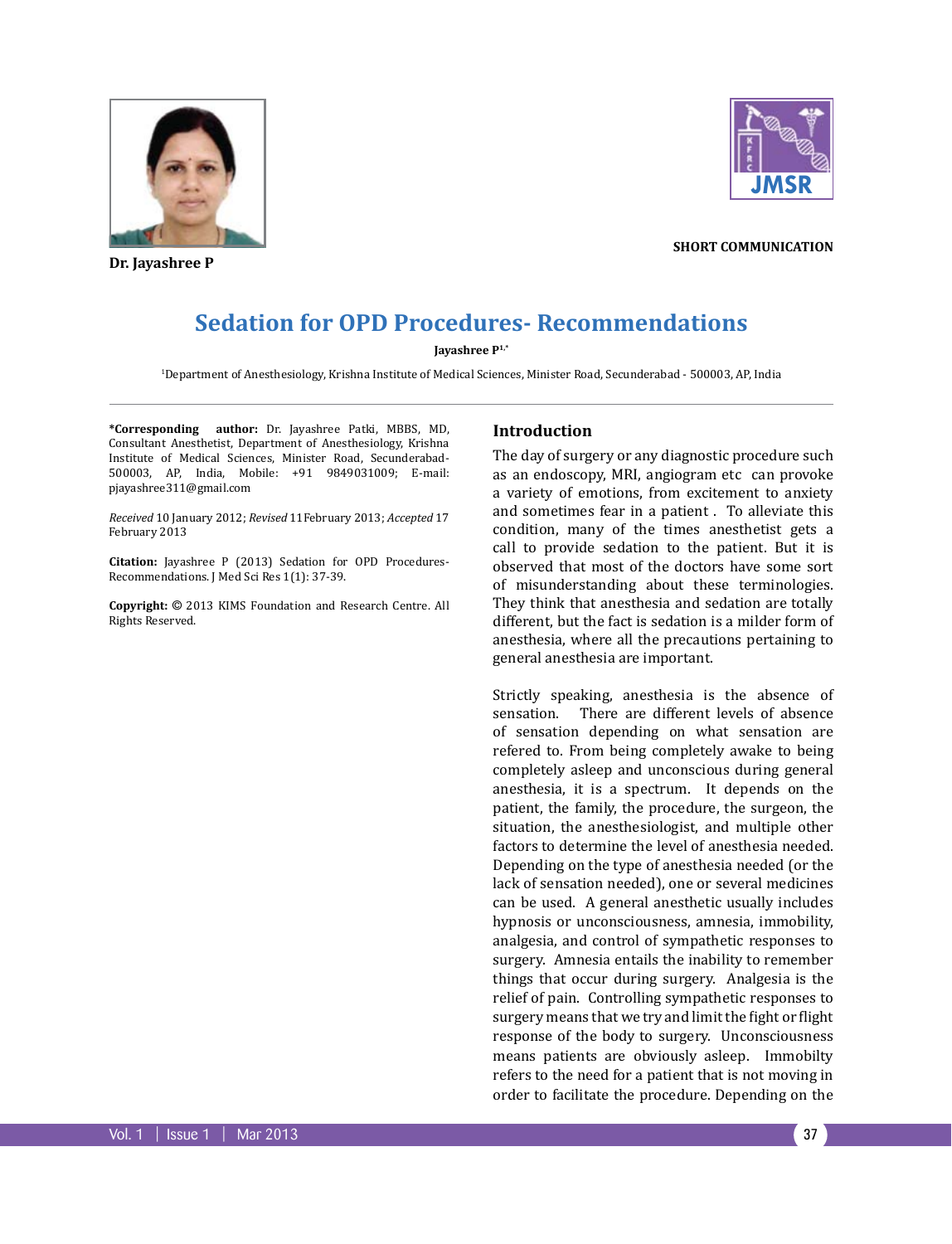

**Dr. Jayashree P**



**short communication**

# **Sedation for OPD Procedures- Recommendations**

#### **Jayashree P1,\***

1 Department of Anesthesiology, Krishna Institute of Medical Sciences, Minister Road, Secunderabad - 500003, AP, India

**\*Corresponding author:** Dr. Jayashree Patki, MBBS, MD, Consultant Anesthetist, Department of Anesthesiology, Krishna Institute of Medical Sciences, Minister Road, Secunderabad-500003, AP, India, Mobile: +91 9849031009; E-mail: pjayashree311@gmail.com

*Received* 10 January 2012; *Revised* 11February 2013; *Accepted* 17 February 2013

**Citation:** Jayashree P (2013) Sedation for OPD Procedures-Recommendations. J Med Sci Res 1(1): 37-39.

**Copyright:** © 2013 KIMS Foundation and Research Centre. All Rights Reserved.

#### **Introduction**

The day of surgery or any diagnostic procedure such as an endoscopy, MRI, angiogram etc can provoke a variety of emotions, from excitement to anxiety and sometimes fear in a patient . To alleviate this condition, many of the times anesthetist gets a call to provide sedation to the patient. But it is observed that most of the doctors have some sort of misunderstanding about these terminologies. They think that anesthesia and sedation are totally different, but the fact is sedation is a milder form of anesthesia, where all the precautions pertaining to general anesthesia are important.

Strictly speaking, anesthesia is the absence of sensation. There are different levels of absence of sensation depending on what sensation are refered to. From being completely awake to being completely asleep and unconscious during general anesthesia, it is a spectrum. It depends on the patient, the family, the procedure, the surgeon, the situation, the anesthesiologist, and multiple other factors to determine the level of anesthesia needed. Depending on the type of anesthesia needed (or the lack of sensation needed), one or several medicines can be used. A general anesthetic usually includes hypnosis or unconsciousness, amnesia, immobility, analgesia, and control of sympathetic responses to surgery. Amnesia entails the inability to remember things that occur during surgery. Analgesia is the relief of pain. Controlling sympathetic responses to surgery means that we try and limit the fight or flight response of the body to surgery. Unconsciousness means patients are obviously asleep. Immobilty refers to the need for a patient that is not moving in order to facilitate the procedure. Depending on the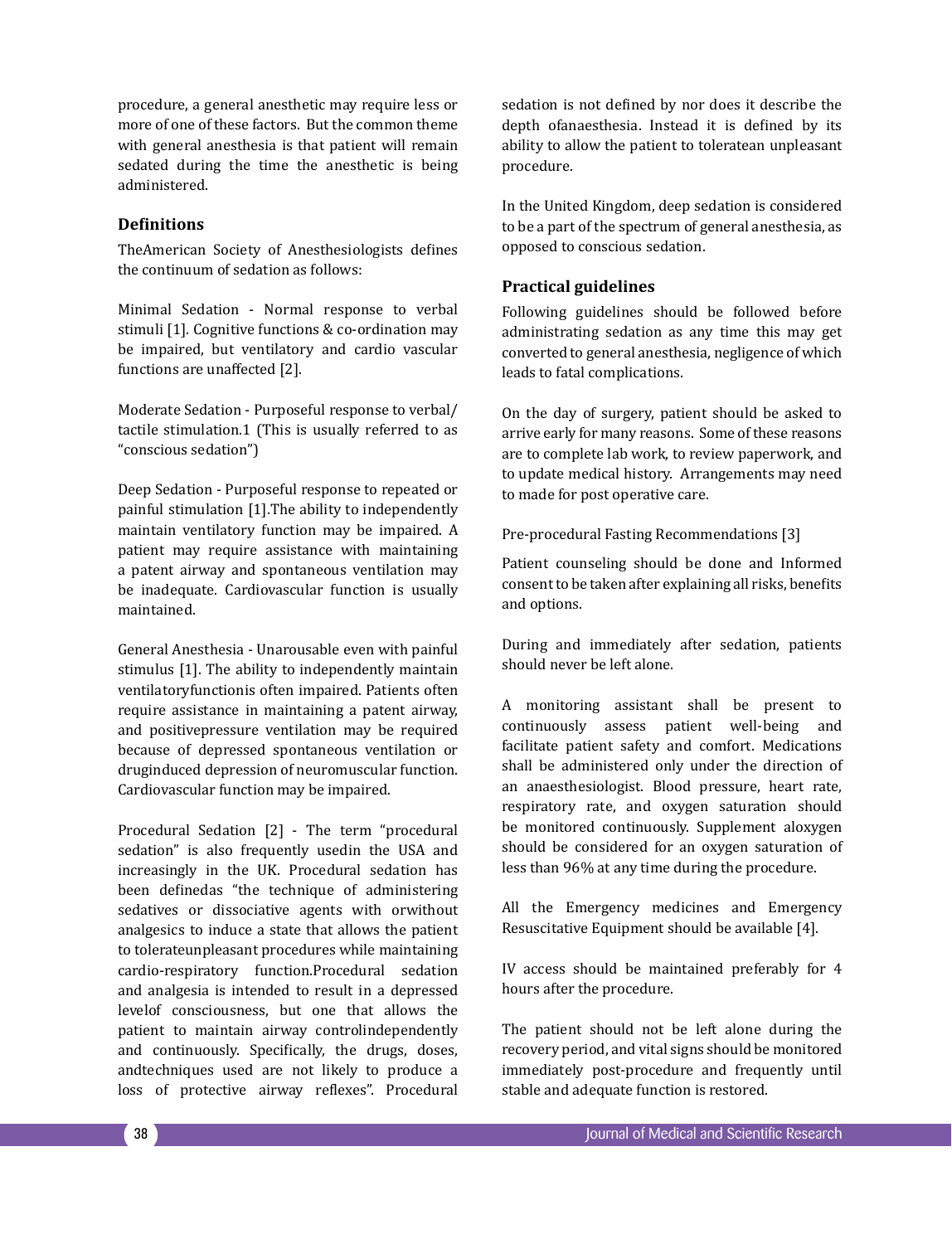procedure, a general anesthetic may require less or more of one of these factors. But the common theme with general anesthesia is that patient will remain sedated during the time the anesthetic is being administered.

# **Definitions**

TheAmerican Society of Anesthesiologists defines the continuum of sedation as follows:

Minimal Sedation - Normal response to verbal stimuli [1]. Cognitive functions & co-ordination may be impaired, but ventilatory and cardio vascular functions are unaffected [2].

Moderate Sedation - Purposeful response to verbal/ tactile stimulation.1 (This is usually referred to as "conscious sedation")

Deep Sedation - Purposeful response to repeated or painful stimulation [1].The ability to independently maintain ventilatory function may be impaired. A patient may require assistance with maintaining a patent airway and spontaneous ventilation may be inadequate. Cardiovascular function is usually maintained.

General Anesthesia - Unarousable even with painful stimulus [1]. The ability to independently maintain ventilatoryfunctionis often impaired. Patients often require assistance in maintaining a patent airway, and positivepressure ventilation may be required because of depressed spontaneous ventilation or druginduced depression of neuromuscular function. Cardiovascular function may be impaired.

Procedural Sedation [2] - The term "procedural sedation" is also frequently usedin the USA and increasingly in the UK. Procedural sedation has been definedas "the technique of administering sedatives or dissociative agents with orwithout analgesics to induce a state that allows the patient to tolerateunpleasant procedures while maintaining cardio-respiratory function.Procedural sedation and analgesia is intended to result in a depressed levelof consciousness, but one that allows the patient to maintain airway controlindependently and continuously. Specifically, the drugs, doses, andtechniques used are not likely to produce a loss of protective airway reflexes". Procedural sedation is not defined by nor does it describe the depth ofanaesthesia. Instead it is defined by its ability to allow the patient to toleratean unpleasant procedure.

In the United Kingdom, deep sedation is considered to be a part of the spectrum of general anesthesia, as opposed to conscious sedation.

## **Practical guidelines**

Following guidelines should be followed before administrating sedation as any time this may get converted to general anesthesia, negligence of which leads to fatal complications.

On the day of surgery, patient should be asked to arrive early for many reasons. Some of these reasons are to complete lab work, to review paperwork, and to update medical history. Arrangements may need to made for post operative care.

Pre-procedural Fasting Recommendations [3]

Patient counseling should be done and Informed consent to be taken after explaining all risks, benefits and options.

During and immediately after sedation, patients should never be left alone.

A monitoring assistant shall be present to continuously assess patient well-being and facilitate patient safety and comfort. Medications shall be administered only under the direction of an anaesthesiologist. Blood pressure, heart rate, respiratory rate, and oxygen saturation should be monitored continuously. Supplement aloxygen should be considered for an oxygen saturation of less than 96% at any time during the procedure.

All the Emergency medicines and Emergency Resuscitative Equipment should be available [4].

IV access should be maintained preferably for 4 hours after the procedure.

The patient should not be left alone during the recovery period, and vital signs should be monitored immediately post-procedure and frequently until stable and adequate function is restored.